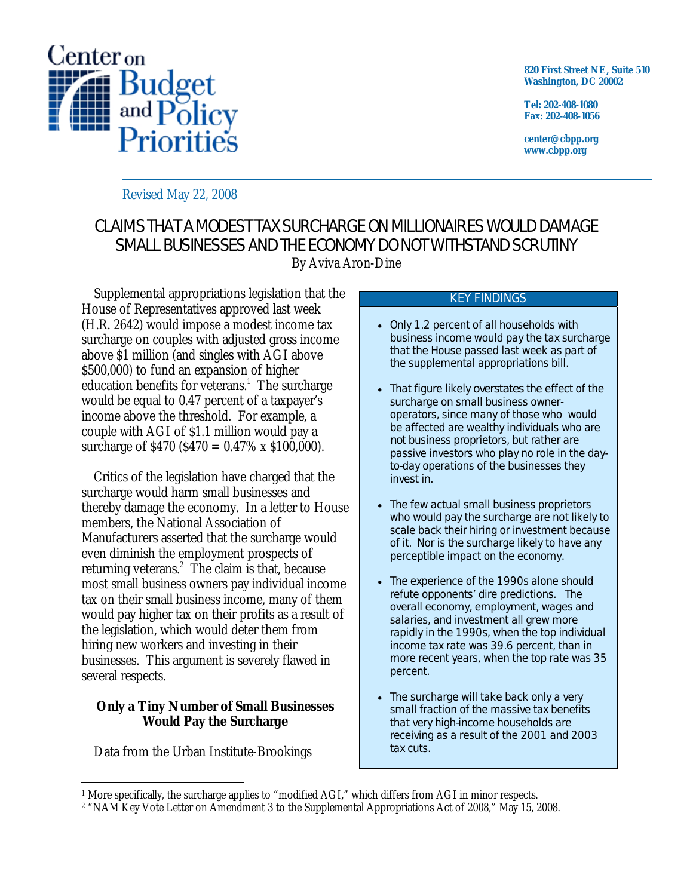

**820 First Street NE, Suite 510 Washington, DC 20002** 

**Tel: 202-408-1080 Fax: 202-408-1056** 

**center@cbpp.org www.cbpp.org** 

## Revised May 22, 2008

# CLAIMS THAT A MODEST TAX SURCHARGE ON MILLIONAIRES WOULD DAMAGE SMALL BUSINESSES AND THE ECONOMY DO NOT WITHSTAND SCRUTINY By Aviva Aron-Dine

 Supplemental appropriations legislation that the House of Representatives approved last week (H.R. 2642) would impose a modest income tax surcharge on couples with adjusted gross income above \$1 million (and singles with AGI above \$500,000) to fund an expansion of higher education benefits for veterans.<sup>1</sup> The surcharge would be equal to 0.47 percent of a taxpayer's income above the threshold. For example, a couple with AGI of \$1.1 million would pay a surcharge of  $$470 ($470 = 0.47\% \times $100,000$ .

 Critics of the legislation have charged that the surcharge would harm small businesses and thereby damage the economy. In a letter to House members, the National Association of Manufacturers asserted that the surcharge would even diminish the employment prospects of returning veterans. $2$  The claim is that, because most small business owners pay individual income tax on their small business income, many of them would pay higher tax on their profits as a result of the legislation, which would deter them from hiring new workers and investing in their businesses. This argument is severely flawed in several respects.

### **Only a Tiny Number of Small Businesses Would Pay the Surcharge**

Data from the Urban Institute-Brookings

#### KEY FINDINGS

- Only 1.2 percent of all households with business income would pay the tax surcharge that the House passed last week as part of the supplemental appropriations bill.
- That figure likely *overstates* the effect of the surcharge on small business owneroperators, since many of those who would be affected are wealthy individuals who are *not* business proprietors, but rather are passive investors who play no role in the dayto-day operations of the businesses they invest in.
- The few actual small business proprietors who would pay the surcharge are not likely to scale back their hiring or investment because of it. Nor is the surcharge likely to have any perceptible impact on the economy.
- The experience of the 1990s alone should refute opponents' dire predictions. The overall economy, employment, wages and salaries, and investment all grew more rapidly in the 1990s, when the top individual income tax rate was 39.6 percent, than in more recent years, when the top rate was 35 percent.
- The surcharge will take back only a very small fraction of the massive tax benefits that very high-income households are receiving as a result of the 2001 and 2003 tax cuts.

 $\overline{a}$ <sup>1</sup> More specifically, the surcharge applies to "modified AGI," which differs from AGI in minor respects.

<sup>2 &</sup>quot;NAM Key Vote Letter on Amendment 3 to the Supplemental Appropriations Act of 2008," May 15, 2008.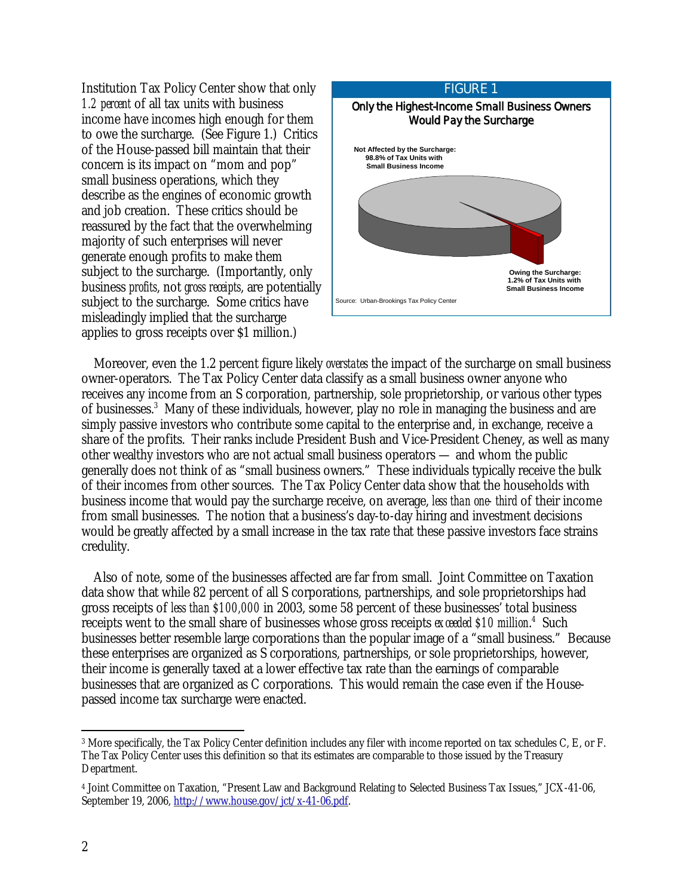Institution Tax Policy Center show that only *1.2 percent* of all tax units with business income have incomes high enough for them to owe the surcharge. (See Figure 1.) Critics of the House-passed bill maintain that their concern is its impact on "mom and pop" small business operations, which they describe as the engines of economic growth and job creation. These critics should be reassured by the fact that the overwhelming majority of such enterprises will never generate enough profits to make them subject to the surcharge. (Importantly, only business *profits*, not *gross receipts*, are potentially subject to the surcharge. Some critics have misleadingly implied that the surcharge applies to gross receipts over \$1 million.)



 Moreover, even the 1.2 percent figure likely *overstates* the impact of the surcharge on small business owner-operators. The Tax Policy Center data classify as a small business owner anyone who receives any income from an S corporation, partnership, sole proprietorship, or various other types of businesses.<sup>3</sup> Many of these individuals, however, play no role in managing the business and are simply passive investors who contribute some capital to the enterprise and, in exchange, receive a share of the profits. Their ranks include President Bush and Vice-President Cheney, as well as many other wealthy investors who are not actual small business operators — and whom the public generally does not think of as "small business owners." These individuals typically receive the bulk of their incomes from other sources. The Tax Policy Center data show that the households with business income that would pay the surcharge receive, on average, *less than one- third* of their income from small businesses. The notion that a business's day-to-day hiring and investment decisions would be greatly affected by a small increase in the tax rate that these passive investors face strains credulity.

 Also of note, some of the businesses affected are far from small. Joint Committee on Taxation data show that while 82 percent of all S corporations, partnerships, and sole proprietorships had gross receipts of *less than \$100,000* in 2003, some 58 percent of these businesses' total business receipts went to the small share of businesses whose gross receipts exceeded \$10 million.<sup>4</sup> Such businesses better resemble large corporations than the popular image of a "small business." Because these enterprises are organized as S corporations, partnerships, or sole proprietorships, however, their income is generally taxed at a lower effective tax rate than the earnings of comparable businesses that are organized as C corporations. This would remain the case even if the Housepassed income tax surcharge were enacted.

<sup>-</sup>3 More specifically, the Tax Policy Center definition includes any filer with income reported on tax schedules C, E, or F. The Tax Policy Center uses this definition so that its estimates are comparable to those issued by the Treasury Department.

<sup>4</sup> Joint Committee on Taxation, "Present Law and Background Relating to Selected Business Tax Issues," JCX-41-06, September 19, 2006, http://www.house.gov/jct/x-41-06.pdf.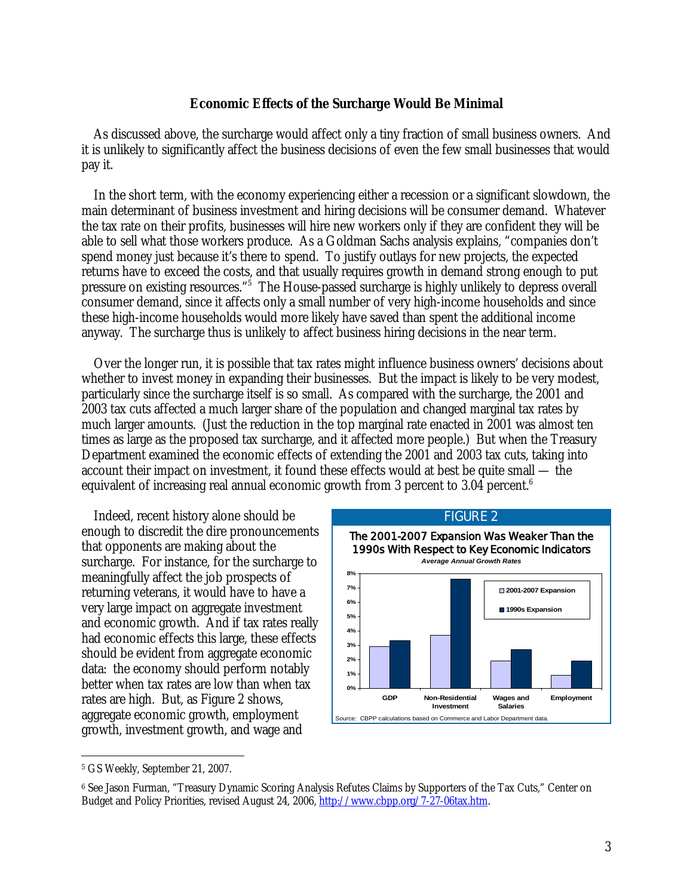#### **Economic Effects of the Surcharge Would Be Minimal**

 As discussed above, the surcharge would affect only a tiny fraction of small business owners. And it is unlikely to significantly affect the business decisions of even the few small businesses that would pay it.

 In the short term, with the economy experiencing either a recession or a significant slowdown, the main determinant of business investment and hiring decisions will be consumer demand. Whatever the tax rate on their profits, businesses will hire new workers only if they are confident they will be able to sell what those workers produce. As a Goldman Sachs analysis explains, "companies don't spend money just because it's there to spend. To justify outlays for new projects, the expected returns have to exceed the costs, and that usually requires growth in demand strong enough to put pressure on existing resources."<sup>5</sup> The House-passed surcharge is highly unlikely to depress overall consumer demand, since it affects only a small number of very high-income households and since these high-income households would more likely have saved than spent the additional income anyway. The surcharge thus is unlikely to affect business hiring decisions in the near term.

 Over the longer run, it is possible that tax rates might influence business owners' decisions about whether to invest money in expanding their businesses. But the impact is likely to be very modest, particularly since the surcharge itself is so small. As compared with the surcharge, the 2001 and 2003 tax cuts affected a much larger share of the population and changed marginal tax rates by much larger amounts. (Just the reduction in the top marginal rate enacted in 2001 was almost ten times as large as the proposed tax surcharge, and it affected more people.) But when the Treasury Department examined the economic effects of extending the 2001 and 2003 tax cuts, taking into account their impact on investment, it found these effects would at best be quite small — the equivalent of increasing real annual economic growth from 3 percent to 3.04 percent.<sup>6</sup>

 Indeed, recent history alone should be enough to discredit the dire pronouncements that opponents are making about the surcharge. For instance, for the surcharge to meaningfully affect the job prospects of returning veterans, it would have to have a very large impact on aggregate investment and economic growth. And if tax rates really had economic effects this large, these effects should be evident from aggregate economic data: the economy should perform notably better when tax rates are low than when tax rates are high. But, as Figure 2 shows, aggregate economic growth, employment growth, investment growth, and wage and



-

<sup>5</sup> GS Weekly, September 21, 2007.

<sup>6</sup> See Jason Furman, "Treasury Dynamic Scoring Analysis Refutes Claims by Supporters of the Tax Cuts," Center on Budget and Policy Priorities, revised August 24, 2006, http://www.cbpp.org/7-27-06tax.htm.